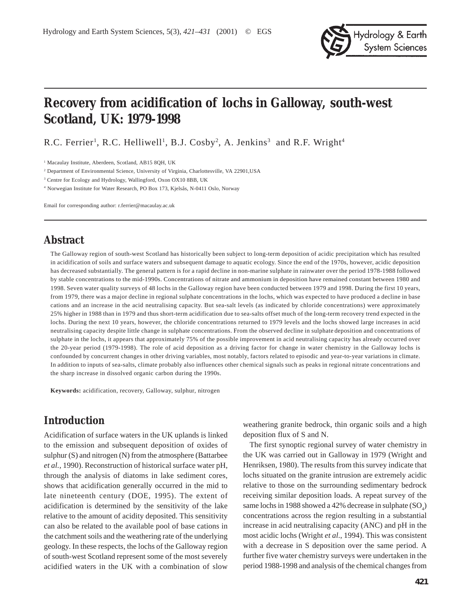

# **Recovery from acidification of lochs in Galloway, south-west Scotland, UK: 1979-1998**

R.C. Ferrier<sup>1</sup>, R.C. Helliwell<sup>1</sup>, B.J. Cosby<sup>2</sup>, A. Jenkins<sup>3</sup> and R.F. Wright<sup>4</sup>

<sup>1</sup> Macaulay Institute, Aberdeen, Scotland, AB15 8QH, UK

2 Department of Environmental Science, University of Virginia, Charlottesville, VA 22901,USA

<sup>3</sup> Centre for Ecology and Hydrology, Wallingford, Oxon OX10 8BB, UK

4 Norwegian Institute for Water Research, PO Box 173, Kjelsås, N-0411 Oslo, Norway

Email for corresponding author: r.ferrier@macaulay.ac.uk

### **Abstract**

The Galloway region of south-west Scotland has historically been subject to long-term deposition of acidic precipitation which has resulted in acidification of soils and surface waters and subsequent damage to aquatic ecology. Since the end of the 1970s, however, acidic deposition has decreased substantially. The general pattern is for a rapid decline in non-marine sulphate in rainwater over the period 1978-1988 followed by stable concentrations to the mid-1990s. Concentrations of nitrate and ammonium in deposition have remained constant between 1980 and 1998. Seven water quality surveys of 48 lochs in the Galloway region have been conducted between 1979 and 1998. During the first 10 years, from 1979, there was a major decline in regional sulphate concentrations in the lochs, which was expected to have produced a decline in base cations and an increase in the acid neutralising capacity. But sea-salt levels (as indicated by chloride concentrations) were approximately 25% higher in 1988 than in 1979 and thus short-term acidification due to sea-salts offset much of the long-term recovery trend expected in the lochs. During the next 10 years, however, the chloride concentrations returned to 1979 levels and the lochs showed large increases in acid neutralising capacity despite little change in sulphate concentrations. From the observed decline in sulphate deposition and concentrations of sulphate in the lochs, it appears that approximately 75% of the possible improvement in acid neutralising capacity has already occurred over the 20-year period (1979-1998). The role of acid deposition as a driving factor for change in water chemistry in the Galloway lochs is confounded by concurrent changes in other driving variables, most notably, factors related to episodic and year-to-year variations in climate. In addition to inputs of sea-salts, climate probably also influences other chemical signals such as peaks in regional nitrate concentrations and the sharp increase in dissolved organic carbon during the 1990s.

**Keywords:** acidification, recovery, Galloway, sulphur, nitrogen

### **Introduction**

Acidification of surface waters in the UK uplands is linked to the emission and subsequent deposition of oxides of sulphur (S) and nitrogen (N) from the atmosphere (Battarbee *et al.*, 1990). Reconstruction of historical surface water pH, through the analysis of diatoms in lake sediment cores, shows that acidification generally occurred in the mid to late nineteenth century (DOE, 1995). The extent of acidification is determined by the sensitivity of the lake relative to the amount of acidity deposited. This sensitivity can also be related to the available pool of base cations in the catchment soils and the weathering rate of the underlying geology. In these respects, the lochs of the Galloway region of south-west Scotland represent some of the most severely acidified waters in the UK with a combination of slow

weathering granite bedrock, thin organic soils and a high deposition flux of S and N.

The first synoptic regional survey of water chemistry in the UK was carried out in Galloway in 1979 (Wright and Henriksen, 1980). The results from this survey indicate that lochs situated on the granite intrusion are extremely acidic relative to those on the surrounding sedimentary bedrock receiving similar deposition loads. A repeat survey of the same lochs in 1988 showed a 42% decrease in sulphate  $(SO_4)$ concentrations across the region resulting in a substantial increase in acid neutralising capacity (ANC) and pH in the most acidic lochs (Wright *et al*., 1994). This was consistent with a decrease in S deposition over the same period. A further five water chemistry surveys were undertaken in the period 1988-1998 and analysis of the chemical changes from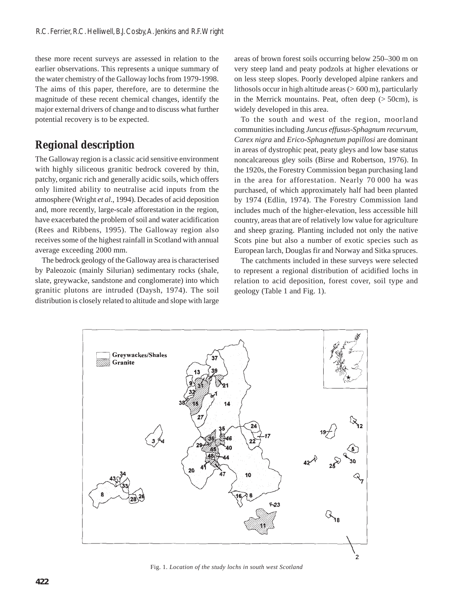these more recent surveys are assessed in relation to the earlier observations. This represents a unique summary of the water chemistry of the Galloway lochs from 1979-1998. The aims of this paper, therefore, are to determine the magnitude of these recent chemical changes, identify the major external drivers of change and to discuss what further potential recovery is to be expected.

# **Regional description**

The Galloway region is a classic acid sensitive environment with highly siliceous granitic bedrock covered by thin, patchy, organic rich and generally acidic soils, which offers only limited ability to neutralise acid inputs from the atmosphere (Wright *et al*., 1994). Decades of acid deposition and, more recently, large-scale afforestation in the region, have exacerbated the problem of soil and water acidification (Rees and Ribbens, 1995). The Galloway region also receives some of the highest rainfall in Scotland with annual average exceeding 2000 mm.

The bedrock geology of the Galloway area is characterised by Paleozoic (mainly Silurian) sedimentary rocks (shale, slate, greywacke, sandstone and conglomerate) into which granitic plutons are intruded (Daysh, 1974). The soil distribution is closely related to altitude and slope with large

areas of brown forest soils occurring below 250–300 m on very steep land and peaty podzols at higher elevations or on less steep slopes. Poorly developed alpine rankers and lithosols occur in high altitude areas  $(> 600 \text{ m})$ , particularly in the Merrick mountains. Peat, often deep  $($  > 50cm), is widely developed in this area.

To the south and west of the region, moorland communities including *Juncus effusus-Sphagnum recurvum, Carex nigra* and *Erico-Sphagnetum papillosi* are dominant in areas of dystrophic peat, peaty gleys and low base status noncalcareous gley soils (Birse and Robertson, 1976). In the 1920s, the Forestry Commission began purchasing land in the area for afforestation. Nearly 70 000 ha was purchased, of which approximately half had been planted by 1974 (Edlin, 1974). The Forestry Commission land includes much of the higher-elevation, less accessible hill country, areas that are of relatively low value for agriculture and sheep grazing. Planting included not only the native Scots pine but also a number of exotic species such as European larch, Douglas fir and Norway and Sitka spruces.

The catchments included in these surveys were selected to represent a regional distribution of acidified lochs in relation to acid deposition, forest cover, soil type and geology (Table 1 and Fig. 1).



Fig. 1*. Location of the study lochs in south west Scotland*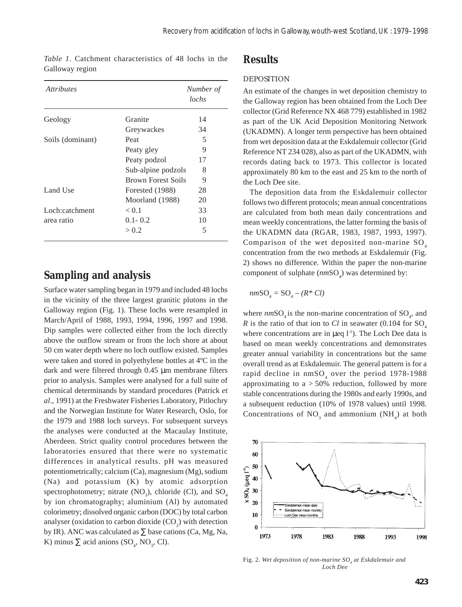| <i><u>Attributes</u></i> |                           | Number of<br>lochs |
|--------------------------|---------------------------|--------------------|
| Geology                  | Granite                   | 14                 |
|                          | Greywackes                | 34                 |
| Soils (dominant)         | Peat                      | 5                  |
|                          | Peaty gley                | 9                  |
|                          | Peaty podzol              | 17                 |
|                          | Sub-alpine podzols        | 8                  |
|                          | <b>Brown Forest Soils</b> | 9                  |
| Land Use                 | Forested (1988)           | 28                 |
|                          | Moorland (1988)           | 20                 |
| Loch:catchment           | < 0.1                     | 33                 |
| area ratio               | $0.1 - 0.2$               | 10                 |
|                          | > 0.2                     | 5                  |

*Table 1*. Catchment characteristics of 48 lochs in the Galloway region

### **Sampling and analysis**

Surface water sampling began in 1979 and included 48 lochs in the vicinity of the three largest granitic plutons in the Galloway region (Fig. 1). These lochs were resampled in March/April of 1988, 1993, 1994, 1996, 1997 and 1998. Dip samples were collected either from the loch directly above the outflow stream or from the loch shore at about 50 cm water depth where no loch outflow existed. Samples were taken and stored in polyethylene bottles at 4ºC in the dark and were filtered through 0.45 µm membrane filters prior to analysis. Samples were analysed for a full suite of chemical determinands by standard procedures (Patrick *et al*., 1991) at the Freshwater Fisheries Laboratory, Pitlochry and the Norwegian Institute for Water Research, Oslo, for the 1979 and 1988 loch surveys. For subsequent surveys the analyses were conducted at the Macaulay Institute, Aberdeen. Strict quality control procedures between the laboratories ensured that there were no systematic differences in analytical results. pH was measured potentiometrically; calcium (Ca), magnesium (Mg), sodium (Na) and potassium (K) by atomic adsorption spectrophotometry; nitrate  $(NO<sub>3</sub>)$ , chloride (Cl), and  $SO<sub>4</sub>$ by ion chromatography; aluminium (Al) by automated colorimetry; dissolved organic carbon (DOC) by total carbon analyser (oxidation to carbon dioxide  $(CO_2)$  with detection by IR). ANC was calculated as  $\Sigma$  base cations (Ca, Mg, Na, K) minus  $\Sigma$  acid anions (SO<sub>4</sub>, NO<sub>3</sub>, Cl).

### **Results**

#### DEPOSITION

An estimate of the changes in wet deposition chemistry to the Galloway region has been obtained from the Loch Dee collector (Grid Reference NX 468 779) established in 1982 as part of the UK Acid Deposition Monitoring Network (UKADMN). A longer term perspective has been obtained from wet deposition data at the Eskdalemuir collector (Grid Reference NT 234 028), also as part of the UKADMN, with records dating back to 1973. This collector is located approximately 80 km to the east and 25 km to the north of the Loch Dee site.

The deposition data from the Eskdalemuir collector follows two different protocols; mean annual concentrations are calculated from both mean daily concentrations and mean weekly concentrations, the latter forming the basis of the UKADMN data (RGAR, 1983, 1987, 1993, 1997). Comparison of the wet deposited non-marine  $SO<sub>4</sub>$ concentration from the two methods at Eskdalemuir (Fig. 2) shows no difference. Within the paper the non-marine component of sulphate ( $nmSO<sub>4</sub>$ ) was determined by:

$$
nm\mathrm{SO}_4=\mathrm{SO}_4-(R^*\,Cl)
$$

where  $nmSO_4$  is the non-marine concentration of  $SO_4$ , and *R* is the ratio of that ion to *Cl* in seawater  $(0.104$  for SO<sub>4</sub> where concentrations are in  $\mu$ eq l<sup>-1</sup>). The Loch Dee data is based on mean weekly concentrations and demonstrates greater annual variability in concentrations but the same overall trend as at Eskdalemuir. The general pattern is for a rapid decline in  $\text{nmSO}_4$  over the period 1978-1988 approximating to  $a > 50\%$  reduction, followed by more stable concentrations during the 1980s and early 1990s, and a subsequent reduction (10% of 1978 values) until 1998. Concentrations of  $NO_3$  and ammonium  $(NH_4)$  at both



Fig. 2. Wet deposition of non-marine SO<sub>4</sub> at Eskdalemuir and *Loch Dee*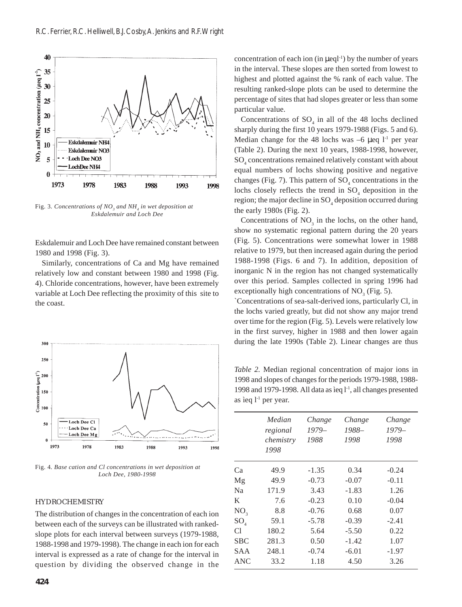

Fig. 3. Concentrations of NO<sub>3</sub> and NH<sub>4</sub> in wet deposition at *Eskdalemuir and Loch Dee*

Eskdalemuir and Loch Dee have remained constant between 1980 and 1998 (Fig. 3).

Similarly, concentrations of Ca and Mg have remained relatively low and constant between 1980 and 1998 (Fig. 4). Chloride concentrations, however, have been extremely variable at Loch Dee reflecting the proximity of this site to the coast.



Fig. 4*. Base cation and Cl concentrations in wet deposition at Loch Dee, 1980-1998*

#### HYDROCHEMISTRY

The distribution of changes in the concentration of each ion between each of the surveys can be illustrated with rankedslope plots for each interval between surveys (1979-1988, 1988-1998 and 1979-1998). The change in each ion for each interval is expressed as a rate of change for the interval in question by dividing the observed change in the

concentration of each ion (in  $\mu$ eql<sup>-1</sup>) by the number of years in the interval. These slopes are then sorted from lowest to highest and plotted against the % rank of each value. The resulting ranked-slope plots can be used to determine the percentage of sites that had slopes greater or less than some particular value.

Concentrations of  $SO_4$  in all of the 48 lochs declined sharply during the first 10 years 1979-1988 (Figs. 5 and 6). Median change for the 48 lochs was  $-6 \mu$ eq l<sup>-1</sup> per year (Table 2). During the next 10 years, 1988-1998, however, SO4 concentrations remained relatively constant with about equal numbers of lochs showing positive and negative changes (Fig. 7). This pattern of  $SO_4$  concentrations in the lochs closely reflects the trend in  $SO_4$  deposition in the region; the major decline in SO<sub>4</sub> deposition occurred during the early 1980s (Fig. 2).

Concentrations of  $NO<sub>3</sub>$  in the lochs, on the other hand, show no systematic regional pattern during the 20 years (Fig. 5). Concentrations were somewhat lower in 1988 relative to 1979, but then increased again during the period 1988-1998 (Figs. 6 and 7). In addition, deposition of inorganic N in the region has not changed systematically over this period. Samples collected in spring 1996 had exceptionally high concentrations of  $NO<sub>3</sub>$  (Fig. 5).

`Concentrations of sea-salt-derived ions, particularly Cl, in the lochs varied greatly, but did not show any major trend over time for the region (Fig. 5). Levels were relatively low in the first survey, higher in 1988 and then lower again during the late 1990s (Table 2). Linear changes are thus

*Table 2.* Median regional concentration of major ions in 1998 and slopes of changes for the periods 1979-1988, 1988- 1998 and 1979-1998. All data as ìeq l-1, all changes presented as ìeq  $l^{-1}$  per year.

|                 | Median    | Change  | Change  | Change  |
|-----------------|-----------|---------|---------|---------|
|                 | regional  | $1979-$ | 1988-   | $1979-$ |
|                 | chemistry | 1988    | 1998    | 1998    |
|                 | 1998      |         |         |         |
| Сa              | 49.9      | $-1.35$ | 0.34    | $-0.24$ |
| Mg              | 49.9      | $-0.73$ | $-0.07$ | $-0.11$ |
| Na              | 171.9     | 3.43    | $-1.83$ | 1.26    |
| K               | 7.6       | $-0.23$ | 0.10    | $-0.04$ |
| NO <sub>3</sub> | 8.8       | $-0.76$ | 0.68    | 0.07    |
| $SO_{4}$        | 59.1      | $-5.78$ | $-0.39$ | $-2.41$ |
| Сl              | 180.2     | 5.64    | $-5.50$ | 0.22    |
| SBC             | 281.3     | 0.50    | $-1.42$ | 1.07    |
| SAA             | 248.1     | $-0.74$ | $-6.01$ | $-1.97$ |
| ANC             | 33.2      | 1.18    | 4.50    | 3.26    |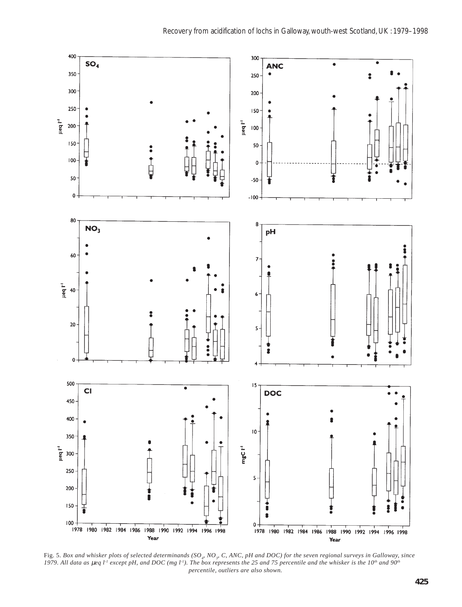

Fig. 5. Box and whisker plots of selected determinands (SO<sub>4</sub>, NO<sub>3</sub>, C, ANC, pH and DOC) for the seven regional surveys in Galloway, since 1979. All data as µeq l<sup>-1</sup> except pH, and DOC (mg l<sup>-1</sup>). The box represents the 25 and 75 percentile and the whisker is the 10<sup>th</sup> and 90<sup>th</sup> *percentile, outliers are also shown.*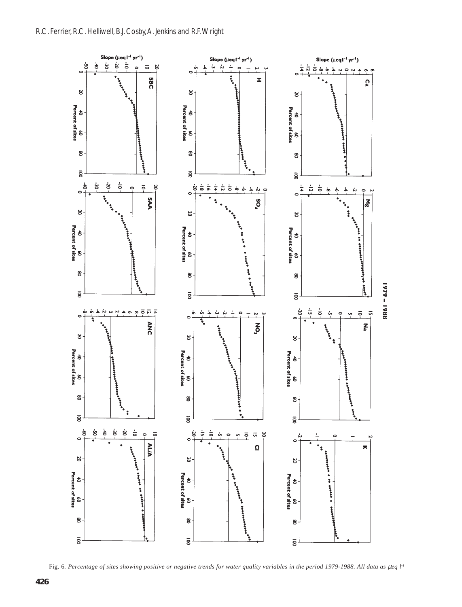

Fig. 6. Percentage of sites showing positive or negative trends for water quality variables in the period 1979-1988. All data as  $\mu$ eq l<sup>-1</sup>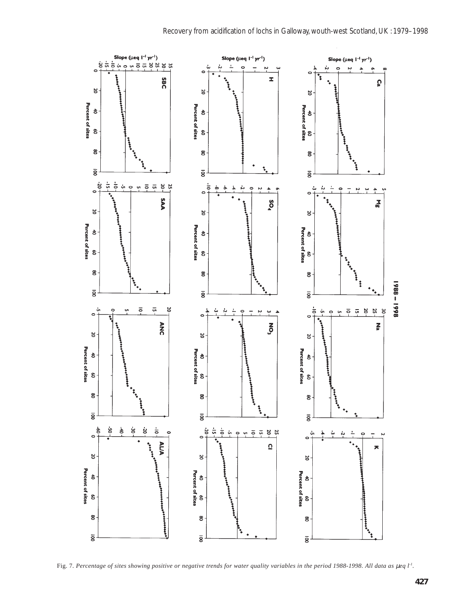

Fig. 7. Percentage of sites showing positive or negative trends for water quality variables in the period 1988-1998. All data as  $\mu$ eq l<sup>-1</sup>.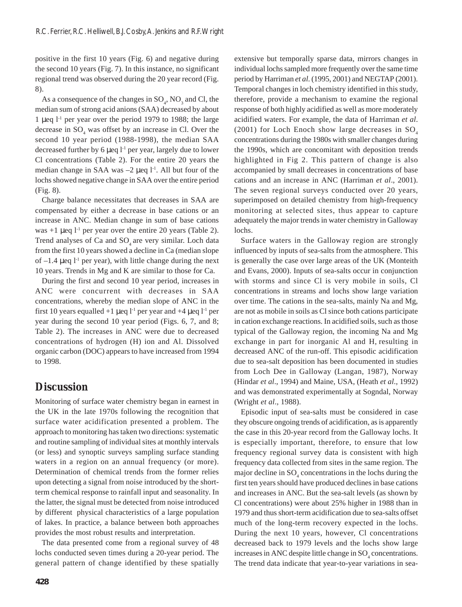positive in the first 10 years (Fig. 6) and negative during the second 10 years (Fig. 7). In this instance, no significant regional trend was observed during the 20 year record (Fig. 8).

As a consequence of the changes in  $SO_4$ ,  $NO_3$  and Cl, the median sum of strong acid anions (SAA) decreased by about 1 µeq  $1<sup>1</sup>$  per year over the period 1979 to 1988; the large decrease in  $SO_4$  was offset by an increase in Cl. Over the second 10 year period (1988-1998), the median SAA decreased further by 6  $\mu$ eq l<sup>-1</sup> per year, largely due to lower Cl concentrations (Table 2). For the entire 20 years the median change in SAA was  $-2$  µeq  $1<sup>-1</sup>$ . All but four of the lochs showed negative change in SAA over the entire period (Fig. 8).

Charge balance necessitates that decreases in SAA are compensated by either a decrease in base cations or an increase in ANC. Median change in sum of base cations was  $+1$  µeq  $1<sup>-1</sup>$  per year over the entire 20 years (Table 2). Trend analyses of Ca and  $SO<sub>4</sub>$  are very similar. Loch data from the first 10 years showed a decline in Ca (median slope of  $-1.4$  µeq  $1<sup>1</sup>$  per year), with little change during the next 10 years. Trends in Mg and K are similar to those for Ca.

During the first and second 10 year period, increases in ANC were concurrent with decreases in SAA concentrations, whereby the median slope of ANC in the first 10 years equalled  $+1$  µeq  $1<sup>-1</sup>$  per year and  $+4$  µeq  $1<sup>-1</sup>$  per year during the second 10 year period (Figs. 6, 7, and 8; Table 2). The increases in ANC were due to decreased concentrations of hydrogen (H) ion and Al. Dissolved organic carbon (DOC) appears to have increased from 1994 to 1998.

# **Discussion**

Monitoring of surface water chemistry began in earnest in the UK in the late 1970s following the recognition that surface water acidification presented a problem. The approach to monitoring has taken two directions: systematic and routine sampling of individual sites at monthly intervals (or less) and synoptic surveys sampling surface standing waters in a region on an annual frequency (or more). Determination of chemical trends from the former relies upon detecting a signal from noise introduced by the shortterm chemical response to rainfall input and seasonality. In the latter, the signal must be detected from noise introduced by different physical characteristics of a large population of lakes. In practice, a balance between both approaches provides the most robust results and interpretation.

The data presented come from a regional survey of 48 lochs conducted seven times during a 20-year period. The general pattern of change identified by these spatially individual lochs sampled more frequently over the same time period by Harriman *et al*. (1995, 2001) and NEGTAP (2001). Temporal changes in loch chemistry identified in this study, therefore, provide a mechanism to examine the regional response of both highly acidified as well as more moderately acidified waters. For example, the data of Harriman *et al*. (2001) for Loch Enoch show large decreases in  $SO<sub>4</sub>$ concentrations during the 1980s with smaller changes during the 1990s, which are concomitant with deposition trends highlighted in Fig 2. This pattern of change is also accompanied by small decreases in concentrations of base cations and an increase in ANC (Harriman *et al*., 2001). The seven regional surveys conducted over 20 years, superimposed on detailed chemistry from high-frequency monitoring at selected sites, thus appear to capture adequately the major trends in water chemistry in Galloway lochs.

extensive but temporally sparse data, mirrors changes in

Surface waters in the Galloway region are strongly influenced by inputs of sea-salts from the atmosphere. This is generally the case over large areas of the UK (Monteith and Evans, 2000). Inputs of sea-salts occur in conjunction with storms and since Cl is very mobile in soils, Cl concentrations in streams and lochs show large variation over time. The cations in the sea-salts, mainly Na and Mg, are not as mobile in soils as Cl since both cations participate in cation exchange reactions. In acidified soils, such as those typical of the Galloway region, the incoming Na and Mg exchange in part for inorganic Al and H, resulting in decreased ANC of the run-off. This episodic acidification due to sea-salt deposition has been documented in studies from Loch Dee in Galloway (Langan, 1987), Norway (Hindar *et al*., 1994) and Maine, USA, (Heath *et al*., 1992) and was demonstrated experimentally at Sogndal, Norway (Wright *et al*., 1988).

Episodic input of sea-salts must be considered in case they obscure ongoing trends of acidification, as is apparently the case in this 20-year record from the Galloway lochs. It is especially important, therefore, to ensure that low frequency regional survey data is consistent with high frequency data collected from sites in the same region. The major decline in  $SO_4$  concentrations in the lochs during the first ten years should have produced declines in base cations and increases in ANC. But the sea-salt levels (as shown by Cl concentrations) were about 25% higher in 1988 than in 1979 and thus short-term acidification due to sea-salts offset much of the long-term recovery expected in the lochs. During the next 10 years, however, Cl concentrations decreased back to 1979 levels and the lochs show large increases in ANC despite little change in  $\mathrm{SO}_4$  concentrations. The trend data indicate that year-to-year variations in sea-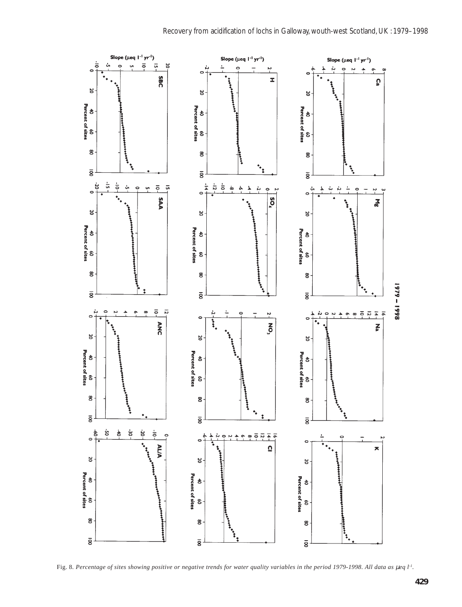

Fig. 8. Percentage of sites showing positive or negative trends for water quality variables in the period 1979-1998. All data as  $\mu$ eq l<sup>-1</sup>.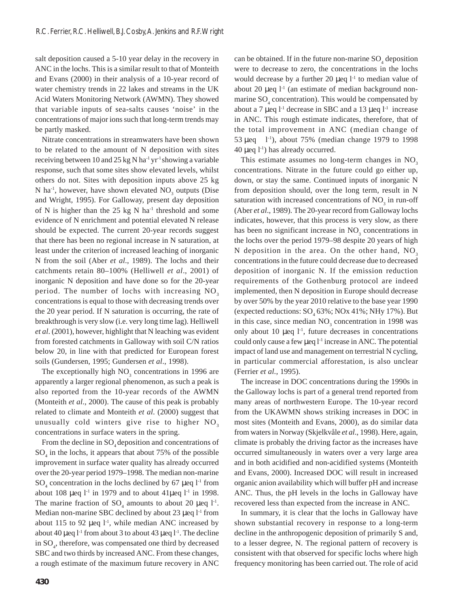salt deposition caused a 5-10 year delay in the recovery in ANC in the lochs. This is a similar result to that of Monteith and Evans (2000) in their analysis of a 10-year record of water chemistry trends in 22 lakes and streams in the UK Acid Waters Monitoring Network (AWMN). They showed that variable inputs of sea-salts causes 'noise' in the concentrations of major ions such that long-term trends may be partly masked.

Nitrate concentrations in streamwaters have been shown to be related to the amount of N deposition with sites receiving between 10 and 25 kg N ha<sup>-1</sup> yr<sup>-1</sup> showing a variable response, such that some sites show elevated levels, whilst others do not. Sites with deposition inputs above 25 kg N ha<sup>-1</sup>, however, have shown elevated  $NO<sub>3</sub>$  outputs (Dise and Wright, 1995). For Galloway, present day deposition of N is higher than the  $25 \text{ kg N}$  ha<sup>-1</sup> threshold and some evidence of N enrichment and potential elevated N release should be expected. The current 20-year records suggest that there has been no regional increase in N saturation, at least under the criterion of increased leaching of inorganic N from the soil (Aber *et al*., 1989). The lochs and their catchments retain 80–100% (Helliwell *et al*., 2001) of inorganic N deposition and have done so for the 20-year period. The number of lochs with increasing  $NO<sub>2</sub>$ concentrations is equal to those with decreasing trends over the 20 year period. If N saturation is occurring, the rate of breakthrough is very slow (i.e. very long time lag). Helliwell *et al*. (2001), however, highlight that N leaching was evident from forested catchments in Galloway with soil C/N ratios below 20, in line with that predicted for European forest soils (Gundersen, 1995; Gundersen *et al*., 1998).

The exceptionally high  $NO<sub>3</sub>$  concentrations in 1996 are apparently a larger regional phenomenon, as such a peak is also reported from the 10-year records of the AWMN (Monteith *et al*., 2000). The cause of this peak is probably related to climate and Monteith *et al*. (2000) suggest that unusually cold winters give rise to higher NO<sub>3</sub> concentrations in surface waters in the spring.

From the decline in  $SO_4$  deposition and concentrations of  $SO_4$  in the lochs, it appears that about 75% of the possible improvement in surface water quality has already occurred over the 20-year period 1979–1998. The median non-marine  $SO_4$  concentration in the lochs declined by 67 µeq  $l<sup>-1</sup>$  from about 108  $\mu$ eq 1<sup>-1</sup> in 1979 and to about 41 $\mu$ eq 1<sup>-1</sup> in 1998. The marine fraction of  $SO_4$  amounts to about 20  $\mu$ eq  $l^{-1}$ . Median non-marine SBC declined by about 23  $\mu$ eq  $l<sup>-1</sup>$  from about 115 to 92  $\mu$ eq 1<sup>-1</sup>, while median ANC increased by about 40 µeq  $l<sup>-1</sup>$  from about 3 to about 43 µeq  $l<sup>-1</sup>$ . The decline in SO<sub>4</sub>, therefore, was compensated one third by decreased SBC and two thirds by increased ANC. From these changes, a rough estimate of the maximum future recovery in ANC

can be obtained. If in the future non-marine  $SO_4$  deposition were to decrease to zero, the concentrations in the lochs would decrease by a further 20  $\mu$ eq  $l^{-1}$  to median value of about 20  $\mu$ eq l<sup>-1</sup> (an estimate of median background nonmarine  $SO_4$  concentration). This would be compensated by about a 7 µeq  $l^{-1}$  decrease in SBC and a 13 µeq  $l^{-1}$  increase in ANC. This rough estimate indicates, therefore, that of the total improvement in ANC (median change of 53 µeq  $1^{-1}$ ), about 75% (median change 1979 to 1998 40  $\mu$ eq l<sup>-1</sup>) has already occurred.

This estimate assumes no long-term changes in NO<sub>3</sub> concentrations. Nitrate in the future could go either up, down, or stay the same. Continued inputs of inorganic N from deposition should, over the long term, result in N saturation with increased concentrations of  $NO<sub>3</sub>$  in run-off (Aber *et al*., 1989). The 20-year record from Galloway lochs indicates, however, that this process is very slow, as there has been no significant increase in  $NO<sub>3</sub>$  concentrations in the lochs over the period 1979–98 despite 20 years of high N deposition in the area. On the other hand,  $NO<sub>2</sub>$ concentrations in the future could decrease due to decreased deposition of inorganic N. If the emission reduction requirements of the Gothenburg protocol are indeed implemented, then N deposition in Europe should decrease by over 50% by the year 2010 relative to the base year 1990 (expected reductions:  $SO_4$  63%; NOx 41%; NHy 17%). But in this case, since median  $NO<sub>3</sub>$  concentration in 1998 was only about 10  $\mu$ eq l<sup>-1</sup>, future decreases in concentrations could only cause a few  $\mu$ eq  $l<sup>-1</sup>$  increase in ANC. The potential impact of land use and management on terrestrial N cycling, in particular commercial afforestation, is also unclear (Ferrier *et al.*, 1995).

The increase in DOC concentrations during the 1990s in the Galloway lochs is part of a general trend reported from many areas of northwestern Europe. The 10-year record from the UKAWMN shows striking increases in DOC in most sites (Monteith and Evans, 2000), as do similar data from waters in Norway (Skjelkvåle *et al*., 1998). Here, again, climate is probably the driving factor as the increases have occurred simultaneously in waters over a very large area and in both acidified and non-acidified systems (Monteith and Evans, 2000). Increased DOC will result in increased organic anion availability which will buffer pH and increase ANC. Thus, the pH levels in the lochs in Galloway have recovered less than expected from the increase in ANC.

In summary, it is clear that the lochs in Galloway have shown substantial recovery in response to a long-term decline in the anthropogenic deposition of primarily S and, to a lesser degree, N. The regional pattern of recovery is consistent with that observed for specific lochs where high frequency monitoring has been carried out. The role of acid